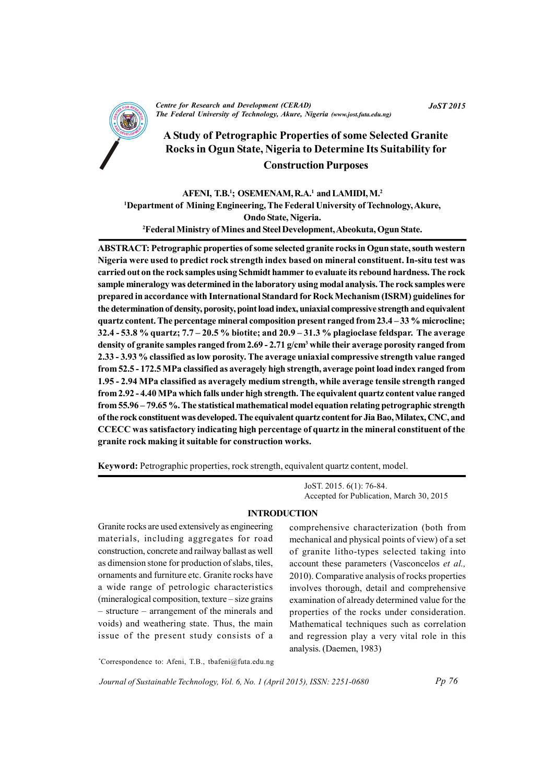

**Centre for Research and Development (CERAD)** The Federal University of Technology, Akure, Nigeria (www.jost.futa.edu.ng)

# A Study of Petrographic Properties of some Selected Granite Rocks in Ogun State, Nigeria to Determine Its Suitability for **Construction Purposes**

AFENI, T.B.<sup>1</sup>; OSEMENAM, R.A.<sup>1</sup> and LAMIDI, M.<sup>2</sup> <sup>1</sup>Department of Mining Engineering, The Federal University of Technology, Akure, Ondo State, Nigeria. <sup>2</sup>Federal Ministry of Mines and Steel Development, Abeokuta, Ogun State.

ABSTRACT: Petrographic properties of some selected granite rocks in Ogun state, south western Nigeria were used to predict rock strength index based on mineral constituent. In-situ test was carried out on the rock samples using Schmidt hammer to evaluate its rebound hardness. The rock sample mineralogy was determined in the laboratory using modal analysis. The rock samples were prepared in accordance with International Standard for Rock Mechanism (ISRM) guidelines for the determination of density, porosity, point load index, uniaxial compressive strength and equivalent quartz content. The percentage mineral composition present ranged from 23.4 – 33 % microcline; 32.4 - 53.8 % quartz;  $7.7 - 20.5$  % biotite; and  $20.9 - 31.3$  % plagioclase feldspar. The average density of granite samples ranged from 2.69 - 2.71  $g/cm<sup>3</sup>$  while their average porosity ranged from 2.33 - 3.93 % classified as low porosity. The average uniaxial compressive strength value ranged from 52.5 - 172.5 MPa classified as averagely high strength, average point load index ranged from 1.95 - 2.94 MPa classified as averagely medium strength, while average tensile strength ranged from 2.92 - 4.40 MPa which falls under high strength. The equivalent quartz content value ranged from 55.96 - 79.65 %. The statistical mathematical model equation relating petrographic strength of the rock constituent was developed. The equivalent quartz content for Jia Bao, Milatex, CNC, and CCECC was satisfactory indicating high percentage of quartz in the mineral constituent of the granite rock making it suitable for construction works.

Keyword: Petrographic properties, rock strength, equivalent quartz content, model.

JoST. 2015. 6(1): 76-84. Accepted for Publication, March 30, 2015

### **INTRODUCTION**

Granite rocks are used extensively as engineering materials, including aggregates for road construction, concrete and railway ballast as well as dimension stone for production of slabs, tiles, ornaments and furniture etc. Granite rocks have a wide range of petrologic characteristics (mineralogical composition, texture – size grains) - structure – arrangement of the minerals and voids) and weathering state. Thus, the main issue of the present study consists of a comprehensive characterization (both from mechanical and physical points of view) of a set of granite litho-types selected taking into account these parameters (Vasconcelos et al., 2010). Comparative analysis of rocks properties involves thorough, detail and comprehensive examination of already determined value for the properties of the rocks under consideration. Mathematical techniques such as correlation and regression play a very vital role in this analysis. (Daemen, 1983)

\*Correspondence to: Afeni, T.B., tbafeni@futa.edu.ng

Journal of Sustainable Technology, Vol. 6, No. 1 (April 2015), ISSN: 2251-0680

**JoST 2015**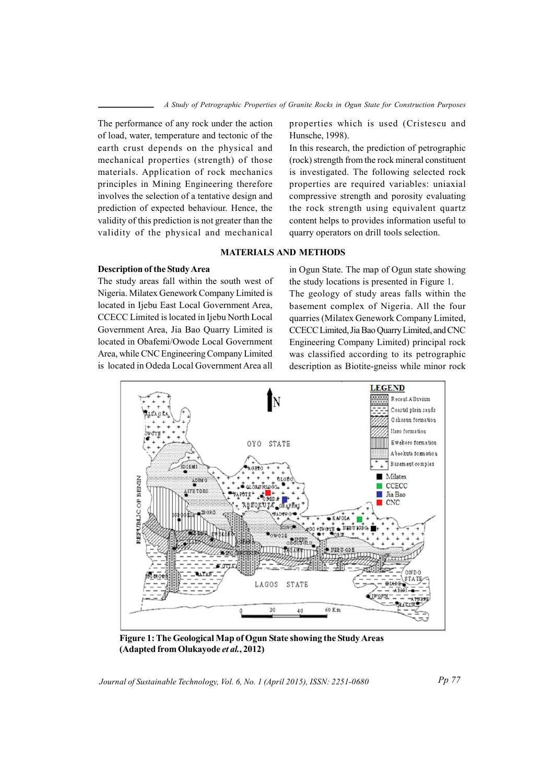The performance of any rock under the action of load, water, temperature and tectonic of the earth crust depends on the physical and mechanical properties (strength) of those materials. Application of rock mechanics principles in Mining Engineering therefore involves the selection of a tentative design and prediction of expected behaviour. Hence, the validity of this prediction is not greater than the validity of the physical and mechanical properties which is used (Cristescu and Hunsche, 1998).

In this research, the prediction of petrographic (rock) strength from the rock mineral constituent is investigated. The following selected rock properties are required variables: uniaxial compressive strength and porosity evaluating the rock strength using equivalent quartz content helps to provides information useful to quarry operators on drill tools selection.

### **MATERIALS AND METHODS**

## **Description of the Study Area**

The study areas fall within the south west of Nigeria. Milatex Genework Company Limited is located in Ijebu East Local Government Area, CCECC Limited is located in Ijebu North Local Government Area, Jia Bao Quarry Limited is located in Obafemi/Owode Local Government Area, while CNC Engineering Company Limited is located in Odeda Local Government Area all

in Ogun State. The map of Ogun state showing the study locations is presented in Figure 1. The geology of study areas falls within the basement complex of Nigeria. All the four quarries (Milatex Genework Company Limited, CCECC Limited, Jia Bao Quarry Limited, and CNC Engineering Company Limited) principal rock was classified according to its petrographic description as Biotite-gneiss while minor rock



Figure 1: The Geological Map of Ogun State showing the Study Areas (Adapted from Olukayode et al., 2012)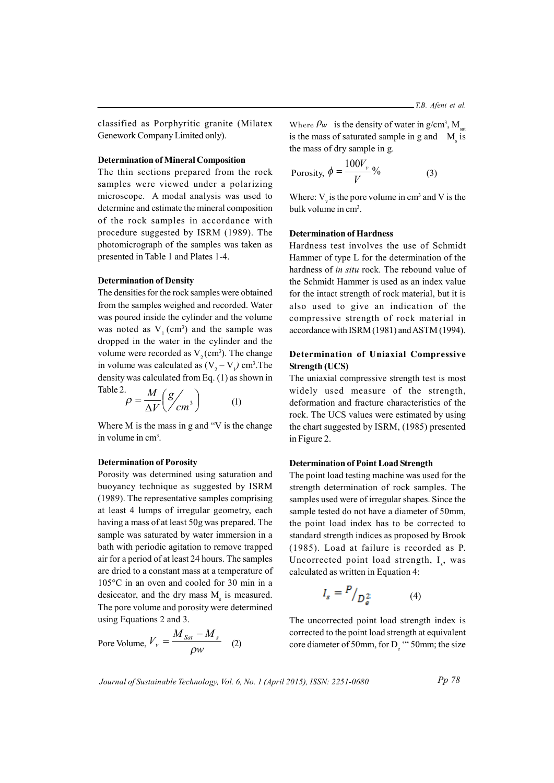classified as Porphyritic granite (Milatex Genework Company Limited only).

## **Determination of Mineral Composition**

The thin sections prepared from the rock samples were viewed under a polarizing microscope. A modal analysis was used to determine and estimate the mineral composition of the rock samples in accordance with procedure suggested by ISRM (1989). The photomicrograph of the samples was taken as presented in Table 1 and Plates 1-4.

### **Determination of Density**

The densities for the rock samples were obtained from the samples weighed and recorded. Water was poured inside the cylinder and the volume was noted as  $V_1$  (cm<sup>3</sup>) and the sample was dropped in the water in the cylinder and the volume were recorded as  $V_2$  (cm<sup>3</sup>). The change in volume was calculated as  $(V, -V)$  cm<sup>3</sup>. The density was calculated from Eq. (1) as shown in Table 2  $\mathbf{r}$ 

$$
\rho = \frac{M}{\Delta V} \left( \frac{g}{cm^3} \right) \tag{1}
$$

Where  $M$  is the mass in g and "V is the change" in volume in cm<sup>3</sup>.

## **Determination of Porosity**

Porosity was determined using saturation and buoyancy technique as suggested by ISRM (1989). The representative samples comprising at least 4 lumps of irregular geometry, each having a mass of at least 50g was prepared. The sample was saturated by water immersion in a bath with periodic agitation to remove trapped air for a period of at least 24 hours. The samples are dried to a constant mass at a temperature of  $105^{\circ}$ C in an oven and cooled for 30 min in a desiccator, and the dry mass M is measured. The pore volume and porosity were determined using Equations 2 and 3.

$$
\text{Pore Volume, } V_{v} = \frac{M_{Sat} - M_{s}}{\rho w} \quad (2)
$$

Where  $\rho_w$  is the density of water in g/cm<sup>3</sup>, M is the mass of saturated sample in g and M is the mass of dry sample in g.

$$
Porosity, \phi = \frac{100V_v}{V}\%
$$
 (3)

Where:  $V_{y}$  is the pore volume in cm<sup>3</sup> and V is the bulk volume in cm<sup>3</sup>.

## **Determination of Hardness**

Hardness test involves the use of Schmidt Hammer of type L for the determination of the hardness of in situ rock. The rebound value of the Schmidt Hammer is used as an index value for the intact strength of rock material, but it is also used to give an indication of the compressive strength of rock material in accordance with ISRM (1981) and ASTM (1994).

## Determination of Uniaxial Compressive **Strength (UCS)**

The uniaxial compressive strength test is most widely used measure of the strength, deformation and fracture characteristics of the rock. The UCS values were estimated by using the chart suggested by ISRM, (1985) presented in Figure 2.

### **Determination of Point Load Strength**

The point load testing machine was used for the strength determination of rock samples. The samples used were of irregular shapes. Since the sample tested do not have a diameter of 50mm, the point load index has to be corrected to standard strength indices as proposed by Brook (1985). Load at failure is recorded as P. Uncorrected point load strength, I<sub>2</sub>, was calculated as written in Equation 4:

$$
I_s = \frac{P}{D_e^2} \tag{4}
$$

The uncorrected point load strength index is corrected to the point load strength at equivalent core diameter of 50mm, for D<sub>a</sub> " 50mm; the size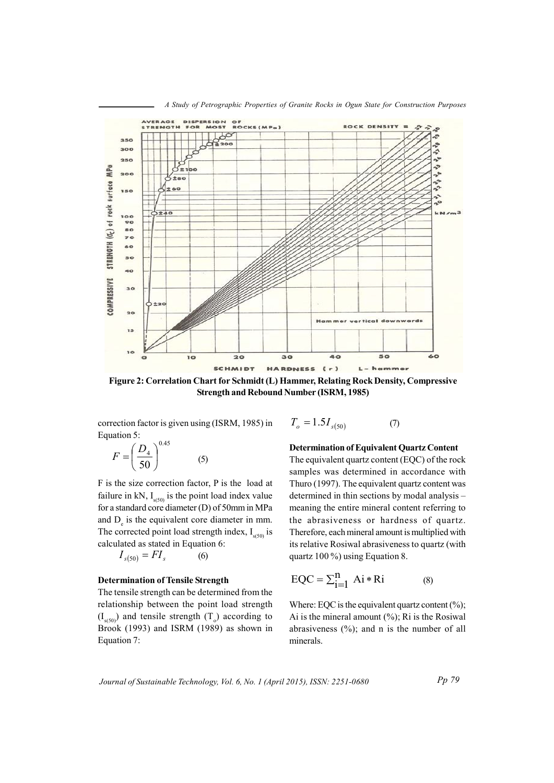

A Study of Petrographic Properties of Granite Rocks in Ogun State for Construction Purposes

Figure 2: Correlation Chart for Schmidt (L) Hammer, Relating Rock Density, Compressive **Strength and Rebound Number (ISRM, 1985)** 

correction factor is given using (ISRM, 1985) in Equation 5:  $\sim$   $\mu$ 

$$
F = \left(\frac{D_4}{50}\right)^{0.45} \tag{5}
$$

F is the size correction factor, P is the load at failure in kN,  $I_{\text{q50}}$  is the point load index value for a standard core diameter (D) of 50mm in MPa and  $D<sub>e</sub>$  is the equivalent core diameter in mm. The corrected point load strength index,  $I_{s(50)}$  is calculated as stated in Equation 6:

$$
I_{s(50)} = FI_s \tag{6}
$$

## **Determination of Tensile Strength**

The tensile strength can be determined from the relationship between the point load strength  $(I_{\mathfrak{so}})$  and tensile strength  $(T_{\mathfrak{so}})$  according to Brook (1993) and ISRM (1989) as shown in Equation 7:

$$
T_o = 1.5I_{s(50)}\tag{7}
$$

**Determination of Equivalent Quartz Content** 

The equivalent quartz content (EQC) of the rock samples was determined in accordance with Thuro (1997). The equivalent quartz content was determined in thin sections by modal analysis meaning the entire mineral content referring to the abrasiveness or hardness of quartz. Therefore, each mineral amount is multiplied with its relative Rosiwal abrasiveness to quartz (with quartz  $100\%$ ) using Equation 8.

$$
EQC = \sum_{i=1}^{n} Ai * Ri
$$
 (8)

Where: EQC is the equivalent quartz content  $(\%);$ Ai is the mineral amount  $(\%)$ ; Ri is the Rosiwal abrasiveness  $(\% )$ ; and n is the number of all minerals.

Journal of Sustainable Technology, Vol. 6, No. 1 (April 2015), ISSN: 2251-0680

 $Pp 79$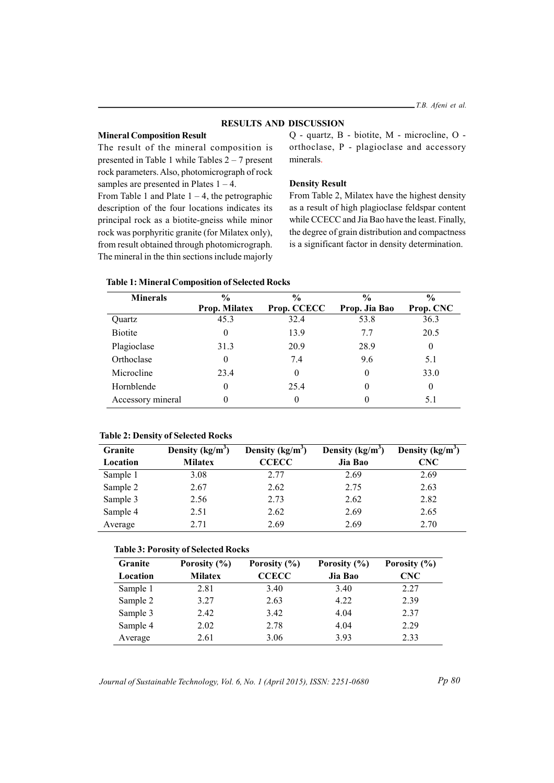### **RESULTS AND DISCUSSION**

### **Mineral Composition Result**

The result of the mineral composition is presented in Table 1 while Tables  $2 - 7$  present rock parameters. Also, photomicrograph of rock samples are presented in Plates  $1 - 4$ .

From Table 1 and Plate  $1 - 4$ , the petrographic description of the four locations indicates its principal rock as a biotite-gneiss while minor rock was porphyritic granite (for Milatex only), from result obtained through photomicrograph. The mineral in the thin sections include majorly

Q - quartz, B - biotite, M - microcline, O orthoclase, P - plagioclase and accessory minerals.

## **Density Result**

From Table 2, Milatex have the highest density as a result of high plagioclase feldspar content while CCECC and Jia Bao have the least. Finally, the degree of grain distribution and compactness is a significant factor in density determination.

|  | <b>Table 1: Mineral Composition of Selected Rocks</b> |  |
|--|-------------------------------------------------------|--|
|--|-------------------------------------------------------|--|

| <b>Minerals</b>   | $\frac{6}{6}$ | $\frac{0}{0}$ | $\frac{0}{0}$ | $\frac{0}{0}$ |  |
|-------------------|---------------|---------------|---------------|---------------|--|
|                   | Prop. Milatex | Prop. CCECC   | Prop. Jia Bao | Prop. CNC     |  |
| Quartz            | 45.3          | 32.4          | 53.8          | 36.3          |  |
| <b>Biotite</b>    |               | 13.9          | 7.7           | 20.5          |  |
| Plagioclase       | 31.3          | 20.9          | 28.9          | $\theta$      |  |
| Orthoclase        |               | 7.4           | 9.6           | 5.1           |  |
| Microcline        | 23.4          | 0             | $\theta$      | 33.0          |  |
| Hornblende        |               | 25.4          | $\theta$      | $\theta$      |  |
| Accessory mineral |               | 0             | 0             | 5.1           |  |

## **Table 2: Density of Selected Rocks**

| Granite  | Density $(kg/m^3)$ | Density $(kg/m^3)$ | Density $(kg/m^3)$ | Density $(kg/m^3)$ |
|----------|--------------------|--------------------|--------------------|--------------------|
| Location | <b>Milatex</b>     | <b>CCECC</b>       | Jia Bao            | <b>CNC</b>         |
| Sample 1 | 3.08               | 2.77               | 2.69               | 2.69               |
| Sample 2 | 2.67               | 2.62               | 2.75               | 2.63               |
| Sample 3 | 2.56               | 2.73               | 2.62               | 2.82               |
| Sample 4 | 2.51               | 2.62               | 2.69               | 2.65               |
| Average  | 2.71               | 2.69               | 2.69               | 2.70               |

#### **Table 3: Porosity of Selected Rocks**

| <b>Granite</b> | Porosity (%)   | Porosity $(\% )$ | Porosity (%) | Porosity $(\% )$ |
|----------------|----------------|------------------|--------------|------------------|
| Location       | <b>Milatex</b> | <b>CCECC</b>     | Jia Bao      | CNC              |
| Sample 1       | 2.81           | 3.40             | 3.40         | 2.27             |
| Sample 2       | 3.27           | 2.63             | 4.22         | 2.39             |
| Sample 3       | 2.42           | 3.42             | 4.04         | 2.37             |
| Sample 4       | 2.02           | 2.78             | 4.04         | 2.29             |
| Average        | 2.61           | 3.06             | 3.93         | 2.33             |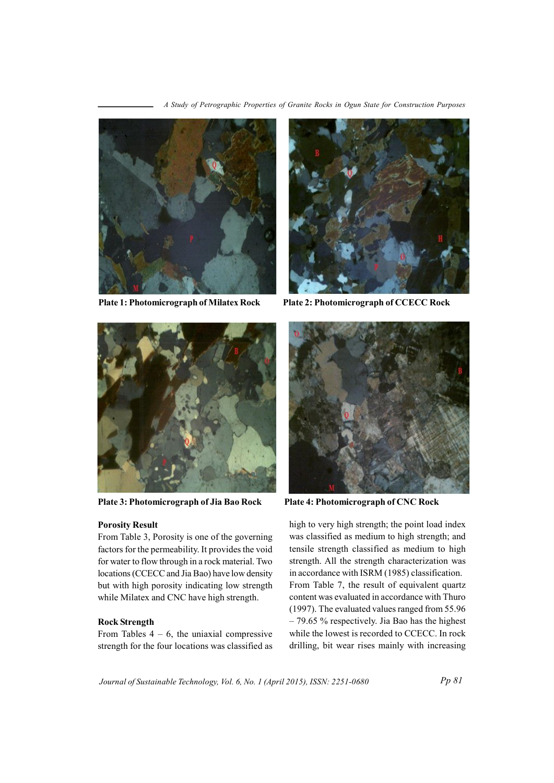A Study of Petrographic Properties of Granite Rocks in Ogun State for Construction Purposes



**Plate 1: Photomicrograph of Milatex Rock** 



Plate 2: Photomicrograph of CCECC Rock



Plate 3: Photomicrograph of Jia Bao Rock

## **Porosity Result**

From Table 3, Porosity is one of the governing factors for the permeability. It provides the void for water to flow through in a rock material. Two locations (CCECC and Jia Bao) have low density but with high porosity indicating low strength while Milatex and CNC have high strength.

## **Rock Strength**

From Tables  $4 - 6$ , the uniaxial compressive strength for the four locations was classified as



Plate 4: Photomicrograph of CNC Rock

high to very high strength; the point load index was classified as medium to high strength; and tensile strength classified as medium to high strength. All the strength characterization was in accordance with ISRM (1985) classification. From Table 7, the result of equivalent quartz content was evaluated in accordance with Thuro (1997). The evaluated values ranged from 55.96  $-79.65$  % respectively. Jia Bao has the highest while the lowest is recorded to CCECC. In rock drilling, bit wear rises mainly with increasing

Journal of Sustainable Technology, Vol. 6, No. 1 (April 2015), ISSN: 2251-0680

 $Pp 81$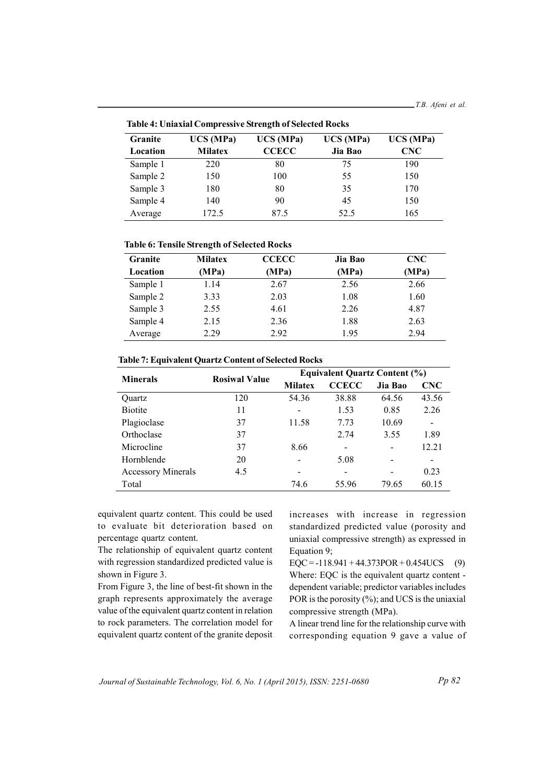Granite  $\overline{UCS(MPa)}$  $\overline{UCS(MPa)}$  $\overline{UCS(MPa)}$  $\overline{UCS(MPa)}$ Location **Milatex CCECC** Jia Bao **CNC** Sample 1 190 220 80 75 Sample 2 150  $100\,$ 55 150 Sample 3 180 80 35 170 Sample 4 90 45 150 140 Average 172.5 87.5 52.5 165

**Table 4: Uniaxial Compressive Strength of Selected Rocks** 

|  |  |  |  | <b>Table 6: Tensile Strength of Selected Rocks</b> |  |
|--|--|--|--|----------------------------------------------------|--|
|--|--|--|--|----------------------------------------------------|--|

| <b>Granite</b> | <b>Milatex</b> | <b>CCECC</b> | Jia Bao | <b>CNC</b> |
|----------------|----------------|--------------|---------|------------|
| Location       | (MPa)          | (MPa)        | (MPa)   | (MPa)      |
| Sample 1       | 1.14           | 2.67         | 2.56    | 2.66       |
| Sample 2       | 3.33           | 2.03         | 1.08    | 1.60       |
| Sample 3       | 2.55           | 4.61         | 2.26    | 4.87       |
| Sample 4       | 2.15           | 2.36         | 1.88    | 2.63       |
| Average        | 2.29           | 2.92         | 1.95    | 2.94       |

| Table 7: Equivalent Quartz Content of Selected Rocks |  |
|------------------------------------------------------|--|
|------------------------------------------------------|--|

| <b>Minerals</b>           | <b>Rosiwal Value</b> | <b>Equivalent Quartz Content (%)</b> |                              |                 |            |
|---------------------------|----------------------|--------------------------------------|------------------------------|-----------------|------------|
|                           |                      | <b>Milatex</b>                       | <b>CCECC</b>                 | Jia Bao         | <b>CNC</b> |
| Ouartz                    | 120                  | 54.36                                | 38.88                        | 64.56           | 43.56      |
| <b>Biotite</b>            | 11                   |                                      | 1.53                         | 0.85            | 2.26       |
| Plagioclase               | 37                   | 11.58                                | 7.73                         | 10.69           | -          |
| Orthoclase                | 37                   |                                      | 2.74                         | 3.55            | 1.89       |
| Microcline                | 37                   | 8.66                                 | $\qquad \qquad \blacksquare$ | -               | 12.21      |
| Hornblende                | 20                   |                                      | 5.08                         | $\qquad \qquad$ |            |
| <b>Accessory Minerals</b> | 4.5                  |                                      |                              |                 | 0.23       |
| Total                     |                      | 74.6                                 | 55.96                        | 79.65           | 60.15      |

equivalent quartz content. This could be used to evaluate bit deterioration based on percentage quartz content.

The relationship of equivalent quartz content with regression standardized predicted value is shown in Figure 3.

From Figure 3, the line of best-fit shown in the graph represents approximately the average value of the equivalent quartz content in relation to rock parameters. The correlation model for equivalent quartz content of the granite deposit increases with increase in regression standardized predicted value (porosity and uniaxial compressive strength) as expressed in Equation 9;

 $EQC = -118.941 + 44.373POR + 0.454UCS$  (9) Where: EQC is the equivalent quartz content dependent variable; predictor variables includes POR is the porosity  $(\% )$ ; and UCS is the uniaxial compressive strength (MPa).

A linear trend line for the relationship curve with corresponding equation 9 gave a value of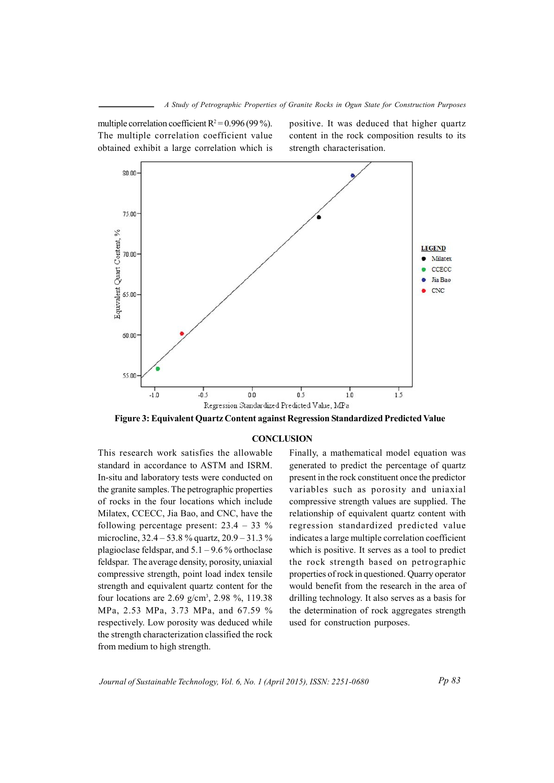multiple correlation coefficient  $R^2 = 0.996$  (99%). The multiple correlation coefficient value obtained exhibit a large correlation which is positive. It was deduced that higher quartz content in the rock composition results to its strength characterisation.



Figure 3: Equivalent Quartz Content against Regression Standardized Predicted Value

## **CONCLUSION**

This research work satisfies the allowable standard in accordance to ASTM and ISRM. In-situ and laboratory tests were conducted on the granite samples. The petrographic properties of rocks in the four locations which include Milatex, CCECC, Jia Bao, and CNC, have the following percentage present:  $23.4 - 33 \%$ microcline,  $32.4 - 53.8$  % quartz,  $20.9 - 31.3$  % plagioclase feldspar, and  $5.1 - 9.6$  % orthoclase feldspar. The average density, porosity, uniaxial compressive strength, point load index tensile strength and equivalent quartz content for the four locations are  $2.69$  g/cm<sup>3</sup>,  $2.98$  %, 119.38 MPa, 2.53 MPa, 3.73 MPa, and 67.59 % respectively. Low porosity was deduced while the strength characterization classified the rock from medium to high strength.

Finally, a mathematical model equation was generated to predict the percentage of quartz present in the rock constituent once the predictor variables such as porosity and uniaxial compressive strength values are supplied. The relationship of equivalent quartz content with regression standardized predicted value indicates a large multiple correlation coefficient which is positive. It serves as a tool to predict the rock strength based on petrographic properties of rock in questioned. Quarry operator would benefit from the research in the area of drilling technology. It also serves as a basis for the determination of rock aggregates strength used for construction purposes.